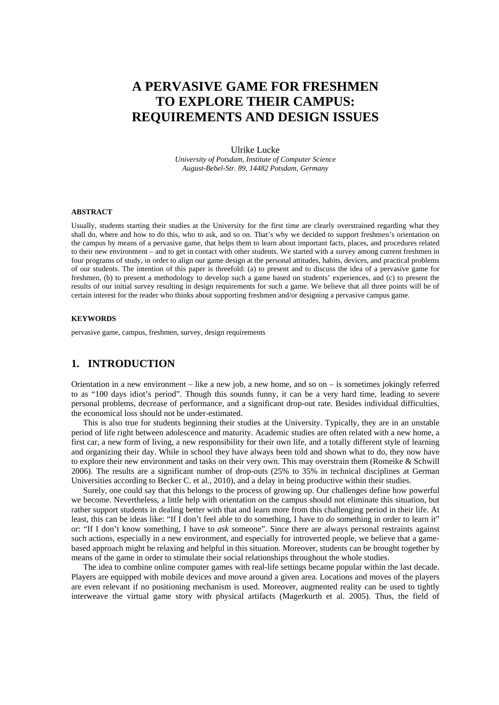# **A PERVASIVE GAME FOR FRESHMEN TO EXPLORE THEIR CAMPUS: REQUIREMENTS AND DESIGN ISSUES**

#### Ulrike Lucke

*University of Potsdam, Institute of Computer Science August-Bebel-Str. 89, 14482 Potsdam, Germany* 

#### **ABSTRACT**

Usually, students starting their studies at the University for the first time are clearly overstrained regarding what they shall do, where and how to do this, who to ask, and so on. That's why we decided to support freshmen's orientation on the campus by means of a pervasive game, that helps them to learn about important facts, places, and procedures related to their new environment – and to get in contact with other students. We started with a survey among current freshmen in four programs of study, in order to align our game design at the personal attitudes, habits, devices, and practical problems of our students. The intention of this paper is threefold: (a) to present and to discuss the idea of a pervasive game for freshmen, (b) to present a methodology to develop such a game based on students' experiences, and (c) to present the results of our initial survey resulting in design requirements for such a game. We believe that all three points will be of certain interest for the reader who thinks about supporting freshmen and/or designing a pervasive campus game.

#### **KEYWORDS**

pervasive game, campus, freshmen, survey, design requirements

# **1. INTRODUCTION**

Orientation in a new environment – like a new job, a new home, and so on – is sometimes jokingly referred to as "100 days idiot's period". Though this sounds funny, it can be a very hard time, leading to severe personal problems, decrease of performance, and a significant drop-out rate. Besides individual difficulties, the economical loss should not be under-estimated.

This is also true for students beginning their studies at the University. Typically, they are in an unstable period of life right between adolescence and maturity. Academic studies are often related with a new home, a first car, a new form of living, a new responsibility for their own life, and a totally different style of learning and organizing their day. While in school they have always been told and shown what to do, they now have to explore their new environment and tasks on their very own. This may overstrain them (Romeike & Schwill 2006). The results are a significant number of drop-outs (25% to 35% in technical disciplines at German Universities according to Becker C. et al., 2010), and a delay in being productive within their studies.

Surely, one could say that this belongs to the process of growing up. Our challenges define how powerful we become. Nevertheless, a little help with orientation on the campus should not eliminate this situation, but rather support students in dealing better with that and learn more from this challenging period in their life. At least, this can be ideas like: "If I don't feel able to do something, I have to *do* something in order to learn it" or: "If I don't know something, I have to *ask* someone". Since there are always personal restraints against such actions, especially in a new environment, and especially for introverted people, we believe that a gamebased approach might be relaxing and helpful in this situation. Moreover, students can be brought together by means of the game in order to stimulate their social relationships throughout the whole studies.

The idea to combine online computer games with real-life settings became popular within the last decade. Players are equipped with mobile devices and move around a given area. Locations and moves of the players are even relevant if no positioning mechanism is used. Moreover, augmented reality can be used to tightly interweave the virtual game story with physical artifacts (Magerkurth et al. 2005). Thus, the field of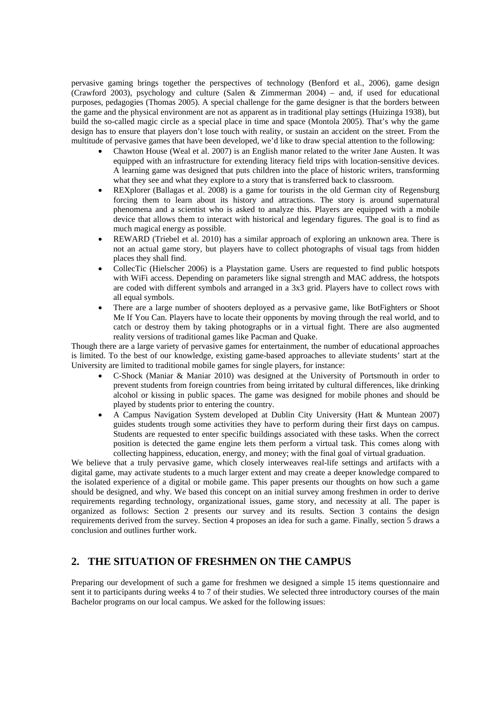pervasive gaming brings together the perspectives of technology (Benford et al., 2006), game design (Crawford 2003), psychology and culture (Salen & Zimmerman 2004) – and, if used for educational purposes, pedagogies (Thomas 2005). A special challenge for the game designer is that the borders between the game and the physical environment are not as apparent as in traditional play settings (Huizinga 1938), but build the so-called magic circle as a special place in time and space (Montola 2005). That's why the game design has to ensure that players don't lose touch with reality, or sustain an accident on the street. From the multitude of pervasive games that have been developed, we'd like to draw special attention to the following:

- Chawton House (Weal et al. 2007) is an English manor related to the writer Jane Austen. It was equipped with an infrastructure for extending literacy field trips with location-sensitive devices. A learning game was designed that puts children into the place of historic writers, transforming what they see and what they explore to a story that is transferred back to classroom.
- REXplorer (Ballagas et al. 2008) is a game for tourists in the old German city of Regensburg forcing them to learn about its history and attractions. The story is around supernatural phenomena and a scientist who is asked to analyze this. Players are equipped with a mobile device that allows them to interact with historical and legendary figures. The goal is to find as much magical energy as possible.
- REWARD (Triebel et al. 2010) has a similar approach of exploring an unknown area. There is not an actual game story, but players have to collect photographs of visual tags from hidden places they shall find.
- CollecTic (Hielscher 2006) is a Playstation game. Users are requested to find public hotspots with WiFi access. Depending on parameters like signal strength and MAC address, the hotspots are coded with different symbols and arranged in a 3x3 grid. Players have to collect rows with all equal symbols.
- There are a large number of shooters deployed as a pervasive game, like BotFighters or Shoot Me If You Can. Players have to locate their opponents by moving through the real world, and to catch or destroy them by taking photographs or in a virtual fight. There are also augmented reality versions of traditional games like Pacman and Quake.

Though there are a large variety of pervasive games for entertainment, the number of educational approaches is limited. To the best of our knowledge, existing game-based approaches to alleviate students' start at the University are limited to traditional mobile games for single players, for instance:

- C-Shock (Maniar & Maniar 2010) was designed at the University of Portsmouth in order to prevent students from foreign countries from being irritated by cultural differences, like drinking alcohol or kissing in public spaces. The game was designed for mobile phones and should be played by students prior to entering the country.
- A Campus Navigation System developed at Dublin City University (Hatt & Muntean 2007) guides students trough some activities they have to perform during their first days on campus. Students are requested to enter specific buildings associated with these tasks. When the correct position is detected the game engine lets them perform a virtual task. This comes along with collecting happiness, education, energy, and money; with the final goal of virtual graduation.

We believe that a truly pervasive game, which closely interweaves real-life settings and artifacts with a digital game, may activate students to a much larger extent and may create a deeper knowledge compared to the isolated experience of a digital or mobile game. This paper presents our thoughts on how such a game should be designed, and why. We based this concept on an initial survey among freshmen in order to derive requirements regarding technology, organizational issues, game story, and necessity at all. The paper is organized as follows: Section 2 presents our survey and its results. Section 3 contains the design requirements derived from the survey. Section 4 proposes an idea for such a game. Finally, section 5 draws a conclusion and outlines further work.

# **2. THE SITUATION OF FRESHMEN ON THE CAMPUS**

Preparing our development of such a game for freshmen we designed a simple 15 items questionnaire and sent it to participants during weeks 4 to 7 of their studies. We selected three introductory courses of the main Bachelor programs on our local campus. We asked for the following issues: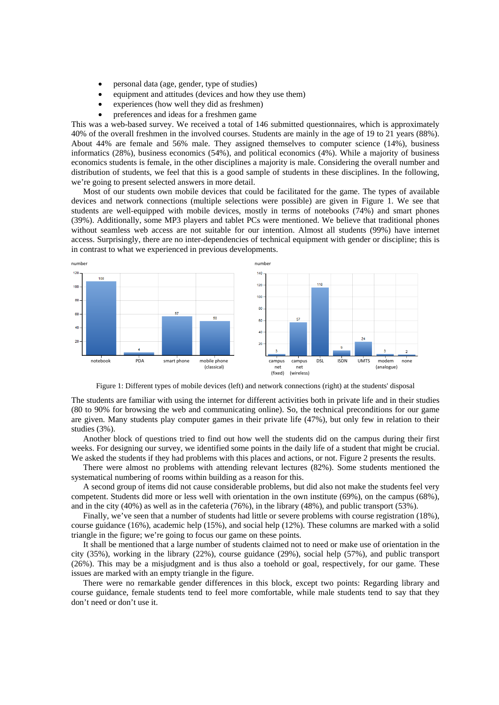- personal data (age, gender, type of studies)
- equipment and attitudes (devices and how they use them)
- experiences (how well they did as freshmen)
- preferences and ideas for a freshmen game

This was a web-based survey. We received a total of 146 submitted questionnaires, which is approximately 40% of the overall freshmen in the involved courses. Students are mainly in the age of 19 to 21 years (88%). About 44% are female and 56% male. They assigned themselves to computer science (14%), business informatics (28%), business economics (54%), and political economics (4%). While a majority of business economics students is female, in the other disciplines a majority is male. Considering the overall number and distribution of students, we feel that this is a good sample of students in these disciplines. In the following, we're going to present selected answers in more detail.

Most of our students own mobile devices that could be facilitated for the game. The types of available devices and network connections (multiple selections were possible) are given in Figure 1. We see that students are well-equipped with mobile devices, mostly in terms of notebooks (74%) and smart phones (39%). Additionally, some MP3 players and tablet PCs were mentioned. We believe that traditional phones without seamless web access are not suitable for our intention. Almost all students (99%) have internet access. Surprisingly, there are no inter-dependencies of technical equipment with gender or discipline; this is in contrast to what we experienced in previous developments.



Figure 1: Different types of mobile devices (left) and network connections (right) at the students' disposal

The students are familiar with using the internet for different activities both in private life and in their studies (80 to 90% for browsing the web and communicating online). So, the technical preconditions for our game are given. Many students play computer games in their private life (47%), but only few in relation to their studies (3%).

Another block of questions tried to find out how well the students did on the campus during their first weeks. For designing our survey, we identified some points in the daily life of a student that might be crucial. We asked the students if they had problems with this places and actions, or not. Figure 2 presents the results.

There were almost no problems with attending relevant lectures (82%). Some students mentioned the systematical numbering of rooms within building as a reason for this.

A second group of items did not cause considerable problems, but did also not make the students feel very competent. Students did more or less well with orientation in the own institute (69%), on the campus (68%), and in the city (40%) as well as in the cafeteria (76%), in the library (48%), and public transport (53%).

Finally, we've seen that a number of students had little or severe problems with course registration (18%), course guidance (16%), academic help (15%), and social help (12%). These columns are marked with a solid triangle in the figure; we're going to focus our game on these points.

It shall be mentioned that a large number of students claimed not to need or make use of orientation in the city (35%), working in the library (22%), course guidance (29%), social help (57%), and public transport (26%). This may be a misjudgment and is thus also a toehold or goal, respectively, for our game. These issues are marked with an empty triangle in the figure.

There were no remarkable gender differences in this block, except two points: Regarding library and course guidance, female students tend to feel more comfortable, while male students tend to say that they don't need or don't use it.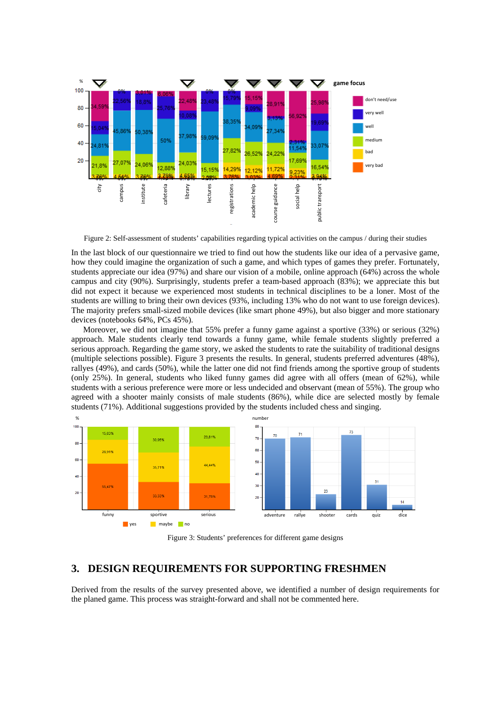

Figure 2: Self-assessment of students' capabilities regarding typical activities on the campus / during their studies

In the last block of our questionnaire we tried to find out how the students like our idea of a pervasive game, how they could imagine the organization of such a game, and which types of games they prefer. Fortunately, students appreciate our idea (97%) and share our vision of a mobile, online approach (64%) across the whole campus and city (90%). Surprisingly, students prefer a team-based approach (83%); we appreciate this but did not expect it because we experienced most students in technical disciplines to be a loner. Most of the students are willing to bring their own devices (93%, including 13% who do not want to use foreign devices). The majority prefers small-sized mobile devices (like smart phone 49%), but also bigger and more stationary devices (notebooks 64%, PCs 45%).

Moreover, we did not imagine that 55% prefer a funny game against a sportive (33%) or serious (32%) approach. Male students clearly tend towards a funny game, while female students slightly preferred a serious approach. Regarding the game story, we asked the students to rate the suitability of traditional designs (multiple selections possible). Figure 3 presents the results. In general, students preferred adventures (48%), rallyes (49%), and cards (50%), while the latter one did not find friends among the sportive group of students (only 25%). In general, students who liked funny games did agree with all offers (mean of 62%), while students with a serious preference were more or less undecided and observant (mean of 55%). The group who agreed with a shooter mainly consists of male students (86%), while dice are selected mostly by female students (71%). Additional suggestions provided by the students included chess and singing. <sup>2</sup> mumber city carrier on the last block of our questionnaire we tried to find out help and the last block of our questionnaire we tried to find out help and the last block of our questionnaire we tried to find out help



Figure 3: Students' preferences for different game designs

### **3. DESIGN REQUIREMENTS FOR SUPPORTING FRESHMEN**

Derived from the results of the survey presented above, we identified a number of design requirements for the planed game. This process was straight-forward and shall not be commented here.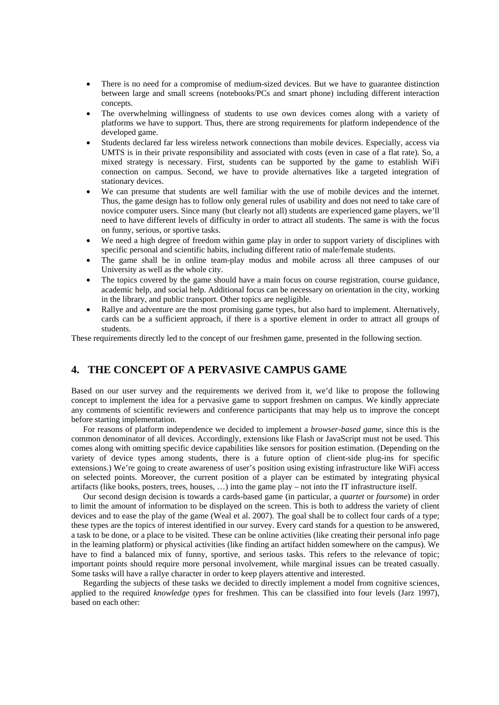- There is no need for a compromise of medium-sized devices. But we have to guarantee distinction between large and small screens (notebooks/PCs and smart phone) including different interaction concepts.
- The overwhelming willingness of students to use own devices comes along with a variety of platforms we have to support. Thus, there are strong requirements for platform independence of the developed game.
- Students declared far less wireless network connections than mobile devices. Especially, access via UMTS is in their private responsibility and associated with costs (even in case of a flat rate). So, a mixed strategy is necessary. First, students can be supported by the game to establish WiFi connection on campus. Second, we have to provide alternatives like a targeted integration of stationary devices.
- We can presume that students are well familiar with the use of mobile devices and the internet. Thus, the game design has to follow only general rules of usability and does not need to take care of novice computer users. Since many (but clearly not all) students are experienced game players, we'll need to have different levels of difficulty in order to attract all students. The same is with the focus on funny, serious, or sportive tasks.
- We need a high degree of freedom within game play in order to support variety of disciplines with specific personal and scientific habits, including different ratio of male/female students.
- The game shall be in online team-play modus and mobile across all three campuses of our University as well as the whole city.
- The topics covered by the game should have a main focus on course registration, course guidance, academic help, and social help. Additional focus can be necessary on orientation in the city, working in the library, and public transport. Other topics are negligible.
- Rallye and adventure are the most promising game types, but also hard to implement. Alternatively, cards can be a sufficient approach, if there is a sportive element in order to attract all groups of students.

These requirements directly led to the concept of our freshmen game, presented in the following section.

# **4. THE CONCEPT OF A PERVASIVE CAMPUS GAME**

Based on our user survey and the requirements we derived from it, we'd like to propose the following concept to implement the idea for a pervasive game to support freshmen on campus. We kindly appreciate any comments of scientific reviewers and conference participants that may help us to improve the concept before starting implementation.

For reasons of platform independence we decided to implement a *browser-based game*, since this is the common denominator of all devices. Accordingly, extensions like Flash or JavaScript must not be used. This comes along with omitting specific device capabilities like sensors for position estimation. (Depending on the variety of device types among students, there is a future option of client-side plug-ins for specific extensions.) We're going to create awareness of user's position using existing infrastructure like WiFi access on selected points. Moreover, the current position of a player can be estimated by integrating physical artifacts (like books, posters, trees, houses, …) into the game play – not into the IT infrastructure itself.

Our second design decision is towards a cards-based game (in particular, a *quartet* or *foursome*) in order to limit the amount of information to be displayed on the screen. This is both to address the variety of client devices and to ease the play of the game (Weal et al. 2007). The goal shall be to collect four cards of a type; these types are the topics of interest identified in our survey. Every card stands for a question to be answered, a task to be done, or a place to be visited. These can be online activities (like creating their personal info page in the learning platform) or physical activities (like finding an artifact hidden somewhere on the campus). We have to find a balanced mix of funny, sportive, and serious tasks. This refers to the relevance of topic; important points should require more personal involvement, while marginal issues can be treated casually. Some tasks will have a rallye character in order to keep players attentive and interested.

Regarding the subjects of these tasks we decided to directly implement a model from cognitive sciences, applied to the required *knowledge types* for freshmen. This can be classified into four levels (Jarz 1997), based on each other: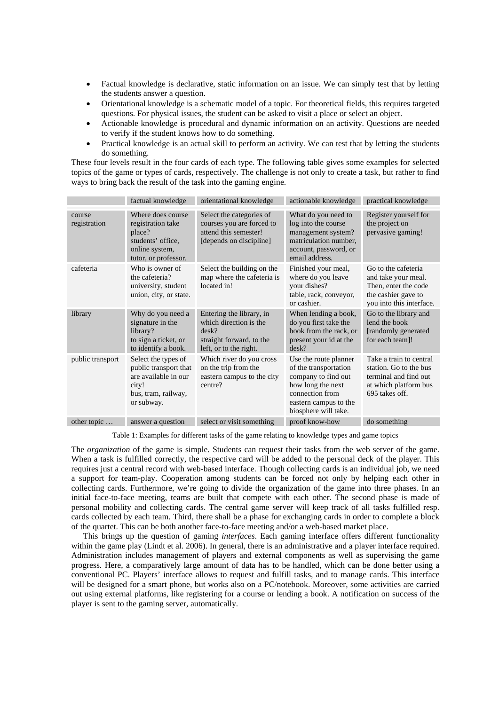- Factual knowledge is declarative, static information on an issue. We can simply test that by letting the students answer a question.
- Orientational knowledge is a schematic model of a topic. For theoretical fields, this requires targeted questions. For physical issues, the student can be asked to visit a place or select an object.
- Actionable knowledge is procedural and dynamic information on an activity. Questions are needed to verify if the student knows how to do something.
- Practical knowledge is an actual skill to perform an activity. We can test that by letting the students do something.

These four levels result in the four cards of each type. The following table gives some examples for selected topics of the game or types of cards, respectively. The challenge is not only to create a task, but rather to find ways to bring back the result of the task into the gaming engine.

|                        | factual knowledge                                                                                                  | orientational knowledge                                                                                                     | actionable knowledge                                                                                                                                           | practical knowledge                                                                                                   |
|------------------------|--------------------------------------------------------------------------------------------------------------------|-----------------------------------------------------------------------------------------------------------------------------|----------------------------------------------------------------------------------------------------------------------------------------------------------------|-----------------------------------------------------------------------------------------------------------------------|
| course<br>registration | Where does course<br>registration take<br>place?<br>students' office.<br>online system,<br>tutor, or professor.    | Select the categories of<br>courses you are forced to<br>attend this semester!<br>[depends on discipline]                   | What do you need to<br>log into the course<br>management system?<br>matriculation number,<br>account, password, or<br>email address.                           | Register yourself for<br>the project on<br>pervasive gaming!                                                          |
| cafeteria              | Who is owner of<br>the cafeteria?<br>university, student<br>union, city, or state.                                 | Select the building on the<br>map where the cafeteria is<br>located in!                                                     | Finished your meal,<br>where do you leave<br>your dishes?<br>table, rack, conveyor,<br>or cashier.                                                             | Go to the cafeteria<br>and take your meal.<br>Then, enter the code<br>the cashier gave to<br>you into this interface. |
| library                | Why do you need a<br>signature in the<br>library?<br>to sign a ticket, or<br>to identify a book.                   | Entering the library, in<br>which direction is the<br>$\text{desk}$ ?<br>straight forward, to the<br>left, or to the right. | When lending a book,<br>do you first take the<br>book from the rack, or<br>present your id at the<br>$\text{desk}$ ?                                           | Go to the library and<br>lend the book<br>[randomly generated]<br>for each team]!                                     |
| public transport       | Select the types of<br>public transport that<br>are available in our<br>city!<br>bus, tram, railway,<br>or subway. | Which river do you cross<br>on the trip from the<br>eastern campus to the city<br>centre?                                   | Use the route planner<br>of the transportation<br>company to find out<br>how long the next<br>connection from<br>eastern campus to the<br>biosphere will take. | Take a train to central<br>station. Go to the bus<br>terminal and find out<br>at which platform bus<br>695 takes off. |
| other topic            | answer a question                                                                                                  | select or visit something                                                                                                   | proof know-how                                                                                                                                                 | do something                                                                                                          |

Table 1: Examples for different tasks of the game relating to knowledge types and game topics

The *organization* of the game is simple. Students can request their tasks from the web server of the game. When a task is fulfilled correctly, the respective card will be added to the personal deck of the player. This requires just a central record with web-based interface. Though collecting cards is an individual job, we need a support for team-play. Cooperation among students can be forced not only by helping each other in collecting cards. Furthermore, we're going to divide the organization of the game into three phases. In an initial face-to-face meeting, teams are built that compete with each other. The second phase is made of personal mobility and collecting cards. The central game server will keep track of all tasks fulfilled resp. cards collected by each team. Third, there shall be a phase for exchanging cards in order to complete a block of the quartet. This can be both another face-to-face meeting and/or a web-based market place.

This brings up the question of gaming *interfaces*. Each gaming interface offers different functionality within the game play (Lindt et al. 2006). In general, there is an administrative and a player interface required. Administration includes management of players and external components as well as supervising the game progress. Here, a comparatively large amount of data has to be handled, which can be done better using a conventional PC. Players' interface allows to request and fulfill tasks, and to manage cards. This interface will be designed for a smart phone, but works also on a PC/notebook. Moreover, some activities are carried out using external platforms, like registering for a course or lending a book. A notification on success of the player is sent to the gaming server, automatically.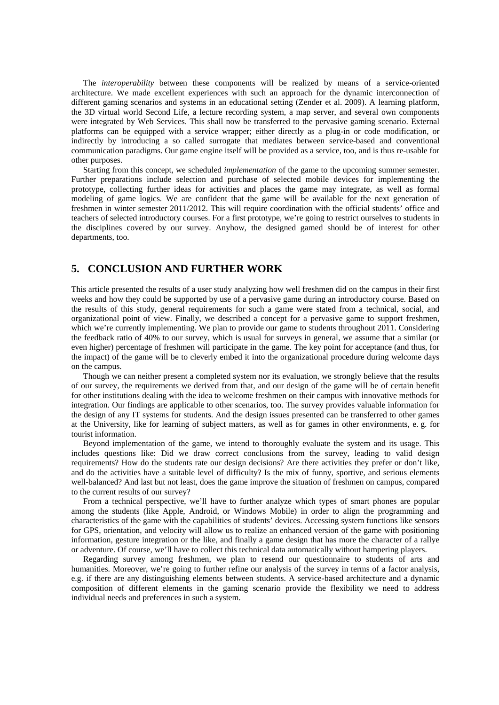The *interoperability* between these components will be realized by means of a service-oriented architecture. We made excellent experiences with such an approach for the dynamic interconnection of different gaming scenarios and systems in an educational setting (Zender et al. 2009). A learning platform, the 3D virtual world Second Life, a lecture recording system, a map server, and several own components were integrated by Web Services. This shall now be transferred to the pervasive gaming scenario. External platforms can be equipped with a service wrapper; either directly as a plug-in or code modification, or indirectly by introducing a so called surrogate that mediates between service-based and conventional communication paradigms. Our game engine itself will be provided as a service, too, and is thus re-usable for other purposes.

Starting from this concept, we scheduled *implementation* of the game to the upcoming summer semester. Further preparations include selection and purchase of selected mobile devices for implementing the prototype, collecting further ideas for activities and places the game may integrate, as well as formal modeling of game logics. We are confident that the game will be available for the next generation of freshmen in winter semester 2011/2012. This will require coordination with the official students' office and teachers of selected introductory courses. For a first prototype, we're going to restrict ourselves to students in the disciplines covered by our survey. Anyhow, the designed gamed should be of interest for other departments, too.

## **5. CONCLUSION AND FURTHER WORK**

This article presented the results of a user study analyzing how well freshmen did on the campus in their first weeks and how they could be supported by use of a pervasive game during an introductory course. Based on the results of this study, general requirements for such a game were stated from a technical, social, and organizational point of view. Finally, we described a concept for a pervasive game to support freshmen, which we're currently implementing. We plan to provide our game to students throughout 2011. Considering the feedback ratio of 40% to our survey, which is usual for surveys in general, we assume that a similar (or even higher) percentage of freshmen will participate in the game. The key point for acceptance (and thus, for the impact) of the game will be to cleverly embed it into the organizational procedure during welcome days on the campus.

Though we can neither present a completed system nor its evaluation, we strongly believe that the results of our survey, the requirements we derived from that, and our design of the game will be of certain benefit for other institutions dealing with the idea to welcome freshmen on their campus with innovative methods for integration. Our findings are applicable to other scenarios, too. The survey provides valuable information for the design of any IT systems for students. And the design issues presented can be transferred to other games at the University, like for learning of subject matters, as well as for games in other environments, e. g. for tourist information.

Beyond implementation of the game, we intend to thoroughly evaluate the system and its usage. This includes questions like: Did we draw correct conclusions from the survey, leading to valid design requirements? How do the students rate our design decisions? Are there activities they prefer or don't like, and do the activities have a suitable level of difficulty? Is the mix of funny, sportive, and serious elements well-balanced? And last but not least, does the game improve the situation of freshmen on campus, compared to the current results of our survey?

From a technical perspective, we'll have to further analyze which types of smart phones are popular among the students (like Apple, Android, or Windows Mobile) in order to align the programming and characteristics of the game with the capabilities of students' devices. Accessing system functions like sensors for GPS, orientation, and velocity will allow us to realize an enhanced version of the game with positioning information, gesture integration or the like, and finally a game design that has more the character of a rallye or adventure. Of course, we'll have to collect this technical data automatically without hampering players.

Regarding survey among freshmen, we plan to resend our questionnaire to students of arts and humanities. Moreover, we're going to further refine our analysis of the survey in terms of a factor analysis, e.g. if there are any distinguishing elements between students. A service-based architecture and a dynamic composition of different elements in the gaming scenario provide the flexibility we need to address individual needs and preferences in such a system.